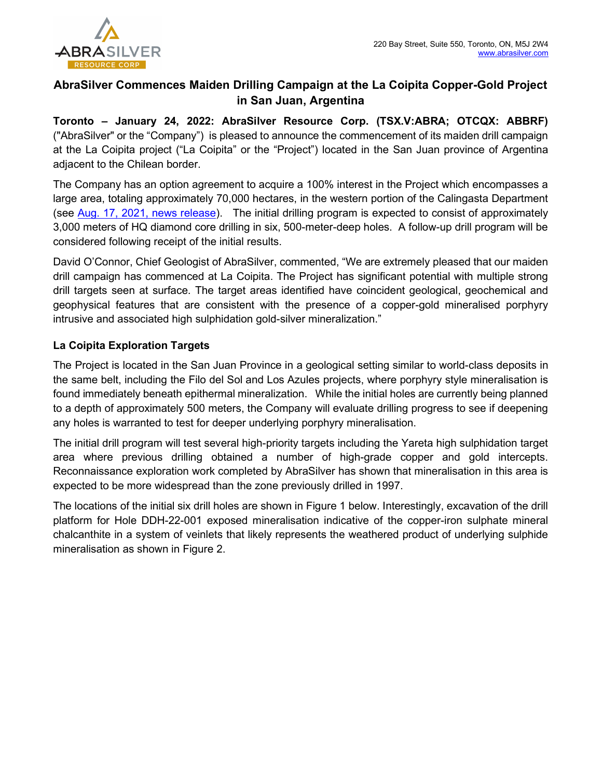

# AbraSilver Commences Maiden Drilling Campaign at the La Coipita Copper-Gold Project in San Juan, Argentina

Toronto – January 24, 2022: AbraSilver Resource Corp. (TSX.V:ABRA; OTCQX: ABBRF) ("AbraSilver" or the "Company") is pleased to announce the commencement of its maiden drill campaign at the La Coipita project ("La Coipita" or the "Project") located in the San Juan province of Argentina adjacent to the Chilean border.

The Company has an option agreement to acquire a 100% interest in the Project which encompasses a large area, totaling approximately 70,000 hectares, in the western portion of the Calingasta Department (see Aug. 17, 2021, news release). The initial drilling program is expected to consist of approximately 3,000 meters of HQ diamond core drilling in six, 500-meter-deep holes. A follow-up drill program will be considered following receipt of the initial results.

David O'Connor, Chief Geologist of AbraSilver, commented, "We are extremely pleased that our maiden drill campaign has commenced at La Coipita. The Project has significant potential with multiple strong drill targets seen at surface. The target areas identified have coincident geological, geochemical and geophysical features that are consistent with the presence of a copper-gold mineralised porphyry intrusive and associated high sulphidation gold-silver mineralization."

## La Coipita Exploration Targets

The Project is located in the San Juan Province in a geological setting similar to world-class deposits in the same belt, including the Filo del Sol and Los Azules projects, where porphyry style mineralisation is found immediately beneath epithermal mineralization. While the initial holes are currently being planned to a depth of approximately 500 meters, the Company will evaluate drilling progress to see if deepening any holes is warranted to test for deeper underlying porphyry mineralisation.

The initial drill program will test several high-priority targets including the Yareta high sulphidation target area where previous drilling obtained a number of high-grade copper and gold intercepts. Reconnaissance exploration work completed by AbraSilver has shown that mineralisation in this area is expected to be more widespread than the zone previously drilled in 1997.

The locations of the initial six drill holes are shown in Figure 1 below. Interestingly, excavation of the drill platform for Hole DDH-22-001 exposed mineralisation indicative of the copper-iron sulphate mineral chalcanthite in a system of veinlets that likely represents the weathered product of underlying sulphide mineralisation as shown in Figure 2.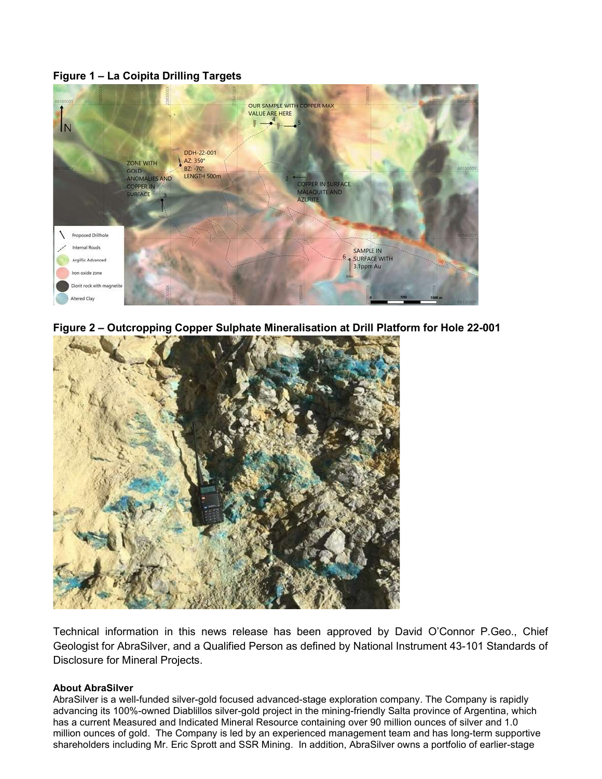### Figure 1 – La Coipita Drilling Targets



Figure 2 – Outcropping Copper Sulphate Mineralisation at Drill Platform for Hole 22-001



Technical information in this news release has been approved by David O'Connor P.Geo., Chief Geologist for AbraSilver, and a Qualified Person as defined by National Instrument 43-101 Standards of Disclosure for Mineral Projects.

#### About AbraSilver

AbraSilver is a well-funded silver-gold focused advanced-stage exploration company. The Company is rapidly advancing its 100%-owned Diablillos silver-gold project in the mining-friendly Salta province of Argentina, which has a current Measured and Indicated Mineral Resource containing over 90 million ounces of silver and 1.0 million ounces of gold. The Company is led by an experienced management team and has long-term supportive shareholders including Mr. Eric Sprott and SSR Mining. In addition, AbraSilver owns a portfolio of earlier-stage